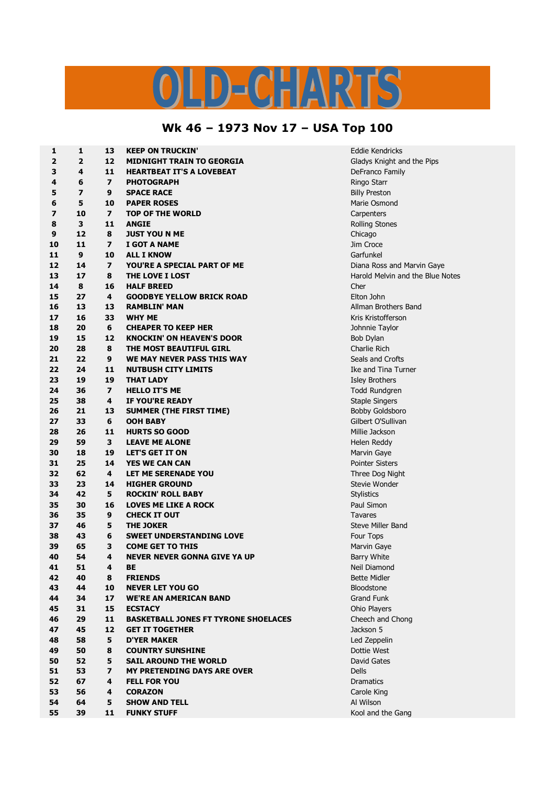## TS  $D = C \cdot \frac{1}{2} \sqrt{N^2}$

## **Wk 46 – 1973 Nov 17 – USA Top 100**

| 1  | 1                       | 13                      | <b>KEEP ON TRUCKIN'</b>                     | <b>Eddie Kendricks</b>           |
|----|-------------------------|-------------------------|---------------------------------------------|----------------------------------|
| 2  | $\overline{2}$          | 12                      | MIDNIGHT TRAIN TO GEORGIA                   | Gladys Knight and the Pips       |
| 3  | 4                       | 11                      | <b>HEARTBEAT IT'S A LOVEBEAT</b>            | DeFranco Family                  |
| 4  | 6                       | $\overline{\mathbf{z}}$ | PHOTOGRAPH                                  | Ringo Starr                      |
| 5  | $\overline{\mathbf{z}}$ | 9                       | <b>SPACE RACE</b>                           | <b>Billy Preston</b>             |
| 6  | 5                       | 10                      | <b>PAPER ROSES</b>                          | Marie Osmond                     |
| 7  | 10                      | $\overline{\mathbf{z}}$ | <b>TOP OF THE WORLD</b>                     | Carpenters                       |
| 8  | 3                       | 11                      | <b>ANGIE</b>                                | Rolling Stones                   |
| 9  | 12                      | 8                       | <b>JUST YOU N ME</b>                        | Chicago                          |
| 10 | 11                      | $\overline{\mathbf{z}}$ | I GOT A NAME                                | Jim Croce                        |
| 11 | 9                       | 10                      | <b>ALL I KNOW</b>                           | Garfunkel                        |
| 12 | 14                      | $\overline{\mathbf{z}}$ | YOU'RE A SPECIAL PART OF ME                 | Diana Ross and Marvin Gaye       |
| 13 | 17                      | 8                       | <b>THE LOVE I LOST</b>                      | Harold Melvin and the Blue Notes |
| 14 | 8                       | 16                      | <b>HALF BREED</b>                           | Cher                             |
| 15 | 27                      | 4                       | <b>GOODBYE YELLOW BRICK ROAD</b>            | Elton John                       |
| 16 | 13                      | 13                      | <b>RAMBLIN' MAN</b>                         | Allman Brothers Band             |
| 17 | 16                      | 33                      | <b>WHY ME</b>                               | Kris Kristofferson               |
| 18 | 20                      | 6                       | <b>CHEAPER TO KEEP HER</b>                  | Johnnie Taylor                   |
| 19 | 15                      | 12                      | <b>KNOCKIN' ON HEAVEN'S DOOR</b>            |                                  |
| 20 | 28                      | 8                       | THE MOST BEAUTIFUL GIRL                     | Bob Dylan<br>Charlie Rich        |
|    |                         |                         |                                             |                                  |
| 21 | 22                      | 9                       | WE MAY NEVER PASS THIS WAY                  | Seals and Crofts                 |
| 22 | 24                      | 11                      | <b>NUTBUSH CITY LIMITS</b>                  | Ike and Tina Turner              |
| 23 | 19                      | 19                      | <b>THAT LADY</b>                            | <b>Isley Brothers</b>            |
| 24 | 36                      | $\overline{ }$          | <b>HELLO IT'S ME</b>                        | Todd Rundgren                    |
| 25 | 38                      | 4                       | IF YOU'RE READY                             | <b>Staple Singers</b>            |
| 26 | 21                      | 13                      | <b>SUMMER (THE FIRST TIME)</b>              | Bobby Goldsboro                  |
| 27 | 33                      | 6                       | OOH BABY                                    | Gilbert O'Sullivan               |
| 28 | 26                      | 11                      | <b>HURTS SO GOOD</b>                        | Millie Jackson                   |
| 29 | 59                      | 3                       | <b>LEAVE ME ALONE</b>                       | Helen Reddy                      |
| 30 | 18                      | 19                      | <b>LET'S GET IT ON</b>                      | Marvin Gaye                      |
| 31 | 25                      | 14                      | <b>YES WE CAN CAN</b>                       | Pointer Sisters                  |
| 32 | 62                      | 4                       | LET ME SERENADE YOU                         | Three Dog Night                  |
| 33 | 23                      | 14                      | <b>HIGHER GROUND</b>                        | Stevie Wonder                    |
| 34 | 42                      | 5                       | <b>ROCKIN' ROLL BABY</b>                    | Stylistics                       |
| 35 | 30                      | 16                      | <b>LOVES ME LIKE A ROCK</b>                 | Paul Simon                       |
| 36 | 35                      | 9                       | <b>CHECK IT OUT</b>                         | Tavares                          |
| 37 | 46                      | 5                       | <b>THE JOKER</b>                            | <b>Steve Miller Band</b>         |
| 38 | 43                      | 6                       | <b>SWEET UNDERSTANDING LOVE</b>             | Four Tops                        |
| 39 | 65                      | 3                       | <b>COME GET TO THIS</b>                     | Marvin Gaye                      |
| 40 | 54                      | 4                       | <b>NEVER NEVER GONNA GIVE YA UP</b>         | <b>Barry White</b>               |
| 41 | 51                      | 4                       | BЕ                                          | Neil Diamond                     |
| 42 | 40                      | 8                       | <b>FRIENDS</b>                              | <b>Bette Midler</b>              |
| 43 | 44                      | 10                      | <b>NEVER LET YOU GO</b>                     | Bloodstone                       |
| 44 | 34                      | 17                      | <b>WE'RE AN AMERICAN BAND</b>               | Grand Funk                       |
| 45 | 31                      | 15                      | <b>ECSTACY</b>                              | Ohio Players                     |
| 46 | 29                      | 11                      | <b>BASKETBALL JONES FT TYRONE SHOELACES</b> | Cheech and Chong                 |
| 47 | 45                      | 12                      | <b>GET IT TOGETHER</b>                      | Jackson 5                        |
| 48 | 58                      | 5                       | <b>D'YER MAKER</b>                          | Led Zeppelin                     |
| 49 | 50                      | 8                       | <b>COUNTRY SUNSHINE</b>                     | Dottie West                      |
| 50 | 52                      | 5                       | <b>SAIL AROUND THE WORLD</b>                | David Gates                      |
| 51 | 53                      | $\overline{\mathbf{z}}$ | <b>MY PRETENDING DAYS ARE OVER</b>          | <b>Dells</b>                     |
| 52 | 67                      | 4                       | <b>FELL FOR YOU</b>                         | Dramatics                        |
| 53 | 56                      | 4                       | <b>CORAZON</b>                              | Carole King                      |
| 54 | 64                      | 5                       | <b>SHOW AND TELL</b>                        | Al Wilson                        |
| 55 | 39                      | 11                      | <b>FUNKY STUFF</b>                          | Kool and the Gang                |
|    |                         |                         |                                             |                                  |